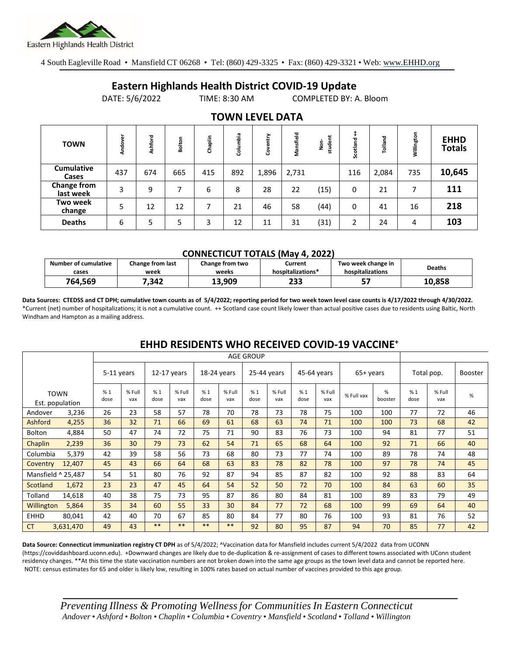

4 South Eagleville Road • Mansfield CT 06268 • Tel: (860) 429-3325 • Fax: (860) 429-3321 • Web: www.EHHD.org

### **Eastern Highlands Health District COVID-19 Update**

DATE: 5/6/2022 TIME: 8:30 AM COMPLETED BY: A. Bloom

| TV <i>.</i>                |         |         |        |         |          |           |           |                 |          |         |            |                              |
|----------------------------|---------|---------|--------|---------|----------|-----------|-----------|-----------------|----------|---------|------------|------------------------------|
| <b>TOWN</b>                | Andover | Ashford | Bolton | Chaplin | Columbia | ntry<br>8 | Mansfield | だ<br>stude<br>å | Scotland | Tolland | Willington | <b>EHHD</b><br><b>Totals</b> |
| <b>Cumulative</b><br>Cases | 437     | 674     | 665    | 415     | 892      | 1,896     | 2,731     |                 | 116      | 2,084   | 735        | 10,645                       |
| Change from<br>last week   | 3       | 9       |        | 6       | 8        | 28        | 22        | (15)            | 0        | 21      |            | 111                          |
| Two week<br>change         | 5       | 12      | 12     | ⇁       | 21       | 46        | 58        | (44)            | 0        | 41      | 16         | 218                          |
| <b>Deaths</b>              | 6       | 5       | 5      | 3       | 12       | 11        | 31        | (31)            | 2        | 24      | 4          | 103                          |

### **TOWN LEVEL DATA**

#### **CONNECTICUT TOTALS (May 4, 2022)**

|                      |                         | __________________________________ | .                 |                    |               |
|----------------------|-------------------------|------------------------------------|-------------------|--------------------|---------------|
| Number of cumulative | <b>Change from last</b> | Change from two                    | Current           | Two week change in | <b>Deaths</b> |
| cases                | week                    | weeks                              | hospitalizations* | hospitalizations   |               |
| 764,569              | .342                    | 13.909                             | 233               |                    | 10,858        |

**Data Sources: CTEDSS and CT DPH; cumulative town counts as of 5/4/2022; reporting period for two week town level case counts is 4/17/2022 through 4/30/2022.** \*Current (net) number of hospitalizations; it is not a cumulative count. ++ Scotland case count likely lower than actual positive cases due to residents using Baltic, North Windham and Hampton as a mailing address.

|                    |                                | <b>AGE GROUP</b> |               |             |               |             |               |             |               |            |               |            |              |                |               |      |
|--------------------|--------------------------------|------------------|---------------|-------------|---------------|-------------|---------------|-------------|---------------|------------|---------------|------------|--------------|----------------|---------------|------|
| 5-11 years         |                                | $12-17$ years    |               | 18-24 years |               | 25-44 years |               | 45-64 years |               | 65+ years  |               | Total pop. |              | <b>Booster</b> |               |      |
|                    | <b>TOWN</b><br>Est. population | %1<br>dose       | % Full<br>vax | %1<br>dose  | % Full<br>vax | %1<br>dose  | % Full<br>vax | %1<br>dose  | % Full<br>vax | %1<br>dose | % Full<br>vax | % Full vax | %<br>booster | %1<br>dose     | % Full<br>vax | $\%$ |
| Andover            | 3,236                          | 26               | 23            | 58          | 57            | 78          | 70            | 78          | 73            | 78         | 75            | 100        | 100          | 77             | 72            | 46   |
| Ashford            | 4,255                          | 36               | 32            | 71          | 66            | 69          | 61            | 68          | 63            | 74         | 71            | 100        | 100          | 73             | 68            | 42   |
| <b>Bolton</b>      | 4,884                          | 50               | 47            | 74          | 72            | 75          | 71            | 90          | 83            | 76         | 73            | 100        | 94           | 81             | 77            | 51   |
| Chaplin            | 2,239                          | 36               | 30            | 79          | 73            | 62          | 54            | 71          | 65            | 68         | 64            | 100        | 92           | 71             | 66            | 40   |
| Columbia           | 5,379                          | 42               | 39            | 58          | 56            | 73          | 68            | 80          | 73            | 77         | 74            | 100        | 89           | 78             | 74            | 48   |
| Coventry           | 12,407                         | 45               | 43            | 66          | 64            | 68          | 63            | 83          | 78            | 82         | 78            | 100        | 97           | 78             | 74            | 45   |
| Mansfield ^ 25,487 |                                | 54               | 51            | 80          | 76            | 92          | 87            | 94          | 85            | 87         | 82            | 100        | 92           | 88             | 83            | 64   |
| Scotland           | 1,672                          | 23               | 23            | 47          | 45            | 64          | 54            | 52          | 50            | 72         | 70            | 100        | 84           | 63             | 60            | 35   |
| Tolland            | 14,618                         | 40               | 38            | 75          | 73            | 95          | 87            | 86          | 80            | 84         | 81            | 100        | 89           | 83             | 79            | 49   |
| Willington         | 5,864                          | 35               | 34            | 60          | 55            | 33          | 30            | 84          | 77            | 72         | 68            | 100        | 99           | 69             | 64            | 40   |
| <b>EHHD</b>        | 80,041                         | 42               | 40            | 70          | 67            | 85          | 80            | 84          | 77            | 80         | 76            | 100        | 93           | 81             | 76            | 52   |
| <b>CT</b>          | 3,631,470                      | 49               | 43            | $***$       | $***$         | $***$       | **            | 92          | 80            | 95         | 87            | 94         | 70           | 85             | 77            | 42   |

## **EHHD RESIDENTS WHO RECEIVED COVID-19 VACCINE<sup>+</sup>**

**Data Source: Connecticut immunization registry CT DPH** as of 5/4/2022; ^Vaccination data for Mansfield includes current 5/4/2022 data from UCONN (https://coviddashboard.uconn.edu). +Downward changes are likely due to de-duplication & re-assignment of cases to different towns associated with UConn student residency changes. \*\*At this time the state vaccination numbers are not broken down into the same age groups as the town level data and cannot be reported here. NOTE: census estimates for 65 and older is likely low, resulting in 100% rates based on actual number of vaccines provided to this age group.

*Preventing Illness & Promoting Wellnessfor Communities In Eastern Connecticut* Andover • Ashford • Bolton • Chaplin • Columbia • Coventry • Mansfield • Scotland • Tolland • Willington